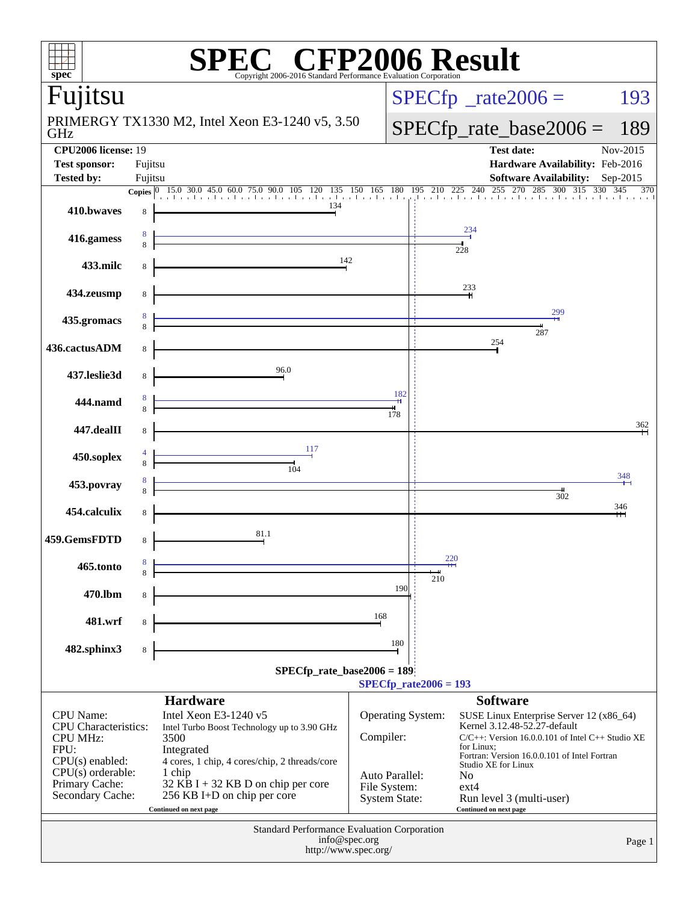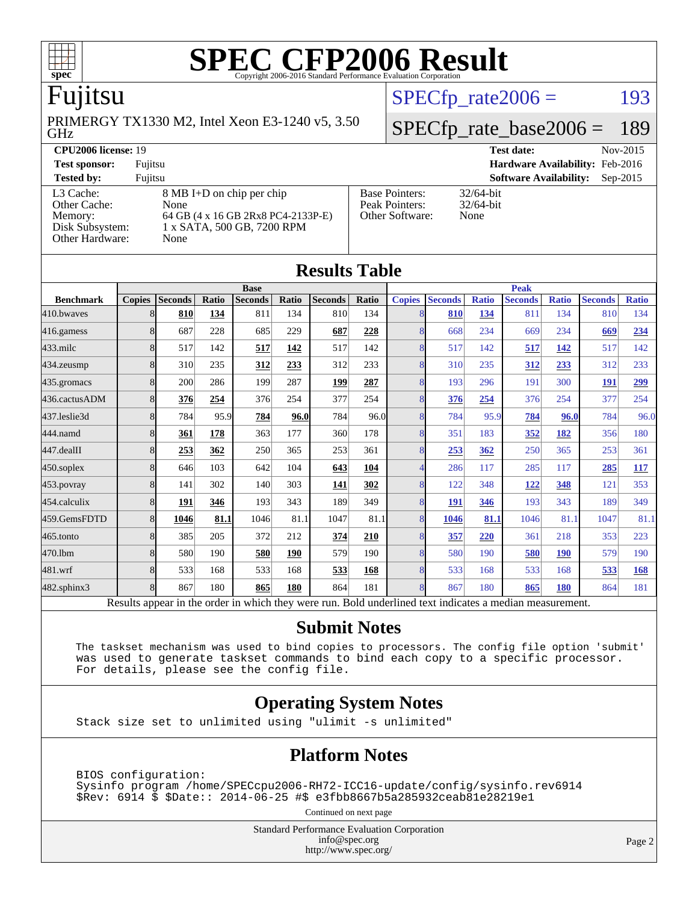

# Fujitsu

GHz PRIMERGY TX1330 M2, Intel Xeon E3-1240 v5, 3.50  $SPECTp\_rate2006 = 193$ 

# [SPECfp\\_rate\\_base2006 =](http://www.spec.org/auto/cpu2006/Docs/result-fields.html#SPECfpratebase2006) 189

#### **[CPU2006 license:](http://www.spec.org/auto/cpu2006/Docs/result-fields.html#CPU2006license)** 19 **[Test date:](http://www.spec.org/auto/cpu2006/Docs/result-fields.html#Testdate)** Nov-2015

**[Test sponsor:](http://www.spec.org/auto/cpu2006/Docs/result-fields.html#Testsponsor)** Fujitsu **[Hardware Availability:](http://www.spec.org/auto/cpu2006/Docs/result-fields.html#HardwareAvailability)** Feb-2016 **[Tested by:](http://www.spec.org/auto/cpu2006/Docs/result-fields.html#Testedby)** Fujitsu **[Software Availability:](http://www.spec.org/auto/cpu2006/Docs/result-fields.html#SoftwareAvailability)** Sep-2015 [Other Cache:](http://www.spec.org/auto/cpu2006/Docs/result-fields.html#OtherCache)

[L3 Cache:](http://www.spec.org/auto/cpu2006/Docs/result-fields.html#L3Cache) 8 MB I+D on chip per chip<br>Other Cache: None [Memory:](http://www.spec.org/auto/cpu2006/Docs/result-fields.html#Memory) 64 GB (4 x 16 GB 2Rx8 PC4-2133P-E) [Disk Subsystem:](http://www.spec.org/auto/cpu2006/Docs/result-fields.html#DiskSubsystem) 1 x SATA, 500 GB, 7200 RPM [Other Hardware:](http://www.spec.org/auto/cpu2006/Docs/result-fields.html#OtherHardware) None

| <b>Base Pointers:</b> | 3 |
|-----------------------|---|
| Peak Pointers:        | 3 |
| Other Software:       | N |
|                       |   |

 $2/64$ -bit  $2/64$ -bit Ione

| <b>Results Table</b>                                                                                     |               |                |       |                |              |                |       |                |                |              |                |              |                |              |
|----------------------------------------------------------------------------------------------------------|---------------|----------------|-------|----------------|--------------|----------------|-------|----------------|----------------|--------------|----------------|--------------|----------------|--------------|
|                                                                                                          | <b>Base</b>   |                |       |                | <b>Peak</b>  |                |       |                |                |              |                |              |                |              |
| <b>Benchmark</b>                                                                                         | <b>Copies</b> | <b>Seconds</b> | Ratio | <b>Seconds</b> | <b>Ratio</b> | <b>Seconds</b> | Ratio | <b>Copies</b>  | <b>Seconds</b> | <b>Ratio</b> | <b>Seconds</b> | <b>Ratio</b> | <b>Seconds</b> | <b>Ratio</b> |
| 410.bwayes                                                                                               | 8             | 810            | 134   | 811            | 134          | 810            | 134   |                | 810            | 134          | 811            | 134          | 810            | 134          |
| 416.gamess                                                                                               | 8             | 687            | 228   | 685            | 229          | 687            | 228   | 8              | 668            | 234          | 669            | 234          | 669            | 234          |
| $433$ .milc                                                                                              | 8             | 517            | 142   | 517            | 142          | 517            | 142   | 8 <sub>1</sub> | 517            | 142          | 517            | 142          | 517            | 142          |
| 434.zeusmp                                                                                               | 8             | 310            | 235   | 312            | 233          | 312            | 233   | 8              | 310            | 235          | 312            | 233          | 312            | 233          |
| 435.gromacs                                                                                              | 8             | 200            | 286   | 199            | 287          | 199            | 287   | 8              | 193            | 296          | 191            | 300          | 191            | <u>299</u>   |
| 436.cactusADM                                                                                            | 8             | 376            | 254   | 376            | 254          | 377            | 254   | 8              | 376            | 254          | 376            | 254          | 377            | 254          |
| 437.leslie3d                                                                                             | 8             | 784            | 95.9  | 784            | 96.0         | 784            | 96.0  | 8              | 784            | 95.9         | 784            | 96.0         | 784            | 96.0         |
| 444.namd                                                                                                 | 8             | 361            | 178   | 363            | 177          | 360            | 178   | 8              | 351            | 183          | 352            | 182          | 356            | 180          |
| 447.dealII                                                                                               | 8             | 253            | 362   | 250            | 365          | 253            | 361   | 8              | 253            | 362          | 250            | 365          | 253            | 361          |
| 450.soplex                                                                                               | 8             | 646            | 103   | 642            | 104          | 643            | 104   |                | 286            | 117          | 285            | 117          | 285            | 117          |
| 453.povray                                                                                               | 8             | 141            | 302   | 140            | 303          | 141            | 302   | 8              | 122            | 348          | 122            | 348          | 121            | 353          |
| 454.calculix                                                                                             | 8             | 191            | 346   | 193            | 343          | 189            | 349   | 8              | 191            | 346          | 193            | 343          | 189            | 349          |
| 459.GemsFDTD                                                                                             | 8             | 1046           | 81.1  | 1046           | 81.1         | 1047           | 81.1  | 8              | 1046           | 81.1         | 1046           | 81.1         | 1047           | 81.1         |
| 465.tonto                                                                                                | 8             | 385            | 205   | 372            | 212          | 374            | 210   | 8              | 357            | 220          | 361            | 218          | 353            | 223          |
| 470.1bm                                                                                                  | 8             | 580            | 190   | 580            | 190          | 579            | 190   | 8              | 580            | 190          | 580            | <b>190</b>   | 579            | 190          |
| 481.wrf                                                                                                  | 8             | 533            | 168   | 533            | 168          | 533            | 168   | 8              | 533            | 168          | 533            | 168          | 533            | 168          |
| 482.sphinx3                                                                                              | 8             | 867            | 180   | 865            | 180          | 864            | 181   | 8              | 867            | 180          | 865            | <b>180</b>   | 864            | 181          |
| Results appear in the order in which they were run. Bold underlined text indicates a median measurement. |               |                |       |                |              |                |       |                |                |              |                |              |                |              |

#### **[Submit Notes](http://www.spec.org/auto/cpu2006/Docs/result-fields.html#SubmitNotes)**

 The taskset mechanism was used to bind copies to processors. The config file option 'submit' was used to generate taskset commands to bind each copy to a specific processor. For details, please see the config file.

#### **[Operating System Notes](http://www.spec.org/auto/cpu2006/Docs/result-fields.html#OperatingSystemNotes)**

Stack size set to unlimited using "ulimit -s unlimited"

#### **[Platform Notes](http://www.spec.org/auto/cpu2006/Docs/result-fields.html#PlatformNotes)**

 BIOS configuration: Sysinfo program /home/SPECcpu2006-RH72-ICC16-update/config/sysinfo.rev6914 \$Rev: 6914 \$ \$Date:: 2014-06-25 #\$ e3fbb8667b5a285932ceab81e28219e1

Continued on next page

Standard Performance Evaluation Corporation [info@spec.org](mailto:info@spec.org) <http://www.spec.org/>

Page 2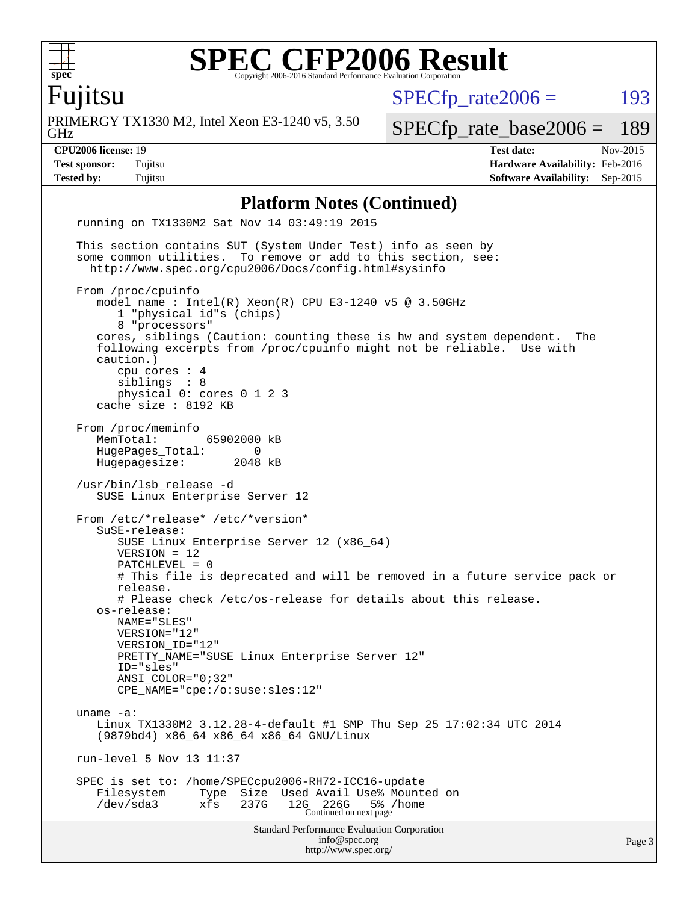

Fujitsu

GHz PRIMERGY TX1330 M2, Intel Xeon E3-1240 v5, 3.50  $SPECfp_rate2006 = 193$  $SPECfp_rate2006 = 193$ [SPECfp\\_rate\\_base2006 =](http://www.spec.org/auto/cpu2006/Docs/result-fields.html#SPECfpratebase2006) 189

**[CPU2006 license:](http://www.spec.org/auto/cpu2006/Docs/result-fields.html#CPU2006license)** 19 **[Test date:](http://www.spec.org/auto/cpu2006/Docs/result-fields.html#Testdate)** Nov-2015 **[Test sponsor:](http://www.spec.org/auto/cpu2006/Docs/result-fields.html#Testsponsor)** Fujitsu **[Hardware Availability:](http://www.spec.org/auto/cpu2006/Docs/result-fields.html#HardwareAvailability)** Feb-2016 **[Tested by:](http://www.spec.org/auto/cpu2006/Docs/result-fields.html#Testedby)** Fujitsu **[Software Availability:](http://www.spec.org/auto/cpu2006/Docs/result-fields.html#SoftwareAvailability)** Sep-2015

#### **[Platform Notes \(Continued\)](http://www.spec.org/auto/cpu2006/Docs/result-fields.html#PlatformNotes)**

Standard Performance Evaluation Corporation [info@spec.org](mailto:info@spec.org) <http://www.spec.org/> Page 3 running on TX1330M2 Sat Nov 14 03:49:19 2015 This section contains SUT (System Under Test) info as seen by some common utilities. To remove or add to this section, see: <http://www.spec.org/cpu2006/Docs/config.html#sysinfo> From /proc/cpuinfo model name : Intel(R) Xeon(R) CPU E3-1240 v5 @ 3.50GHz 1 "physical id"s (chips) 8 "processors" cores, siblings (Caution: counting these is hw and system dependent. The following excerpts from /proc/cpuinfo might not be reliable. Use with caution.) cpu cores : 4 siblings : 8 physical 0: cores 0 1 2 3 cache size : 8192 KB From /proc/meminfo<br>MemTotal: 65902000 kB HugePages\_Total: 0 Hugepagesize: 2048 kB /usr/bin/lsb\_release -d SUSE Linux Enterprise Server 12 From /etc/\*release\* /etc/\*version\* SuSE-release: SUSE Linux Enterprise Server 12 (x86\_64) VERSION = 12 PATCHLEVEL = 0 # This file is deprecated and will be removed in a future service pack or release. # Please check /etc/os-release for details about this release. os-release: NAME="SLES" VERSION="12" VERSION\_ID="12" PRETTY\_NAME="SUSE Linux Enterprise Server 12" ID="sles" ANSI\_COLOR="0;32" CPE\_NAME="cpe:/o:suse:sles:12" uname -a: Linux TX1330M2 3.12.28-4-default #1 SMP Thu Sep 25 17:02:34 UTC 2014 (9879bd4) x86\_64 x86\_64 x86\_64 GNU/Linux run-level 5 Nov 13 11:37 SPEC is set to: /home/SPECcpu2006-RH72-ICC16-update Filesystem Type Size Used Avail Use% Mounted on /dev/sda3 xfs 237G 12G 226G 5% /home Continued on next page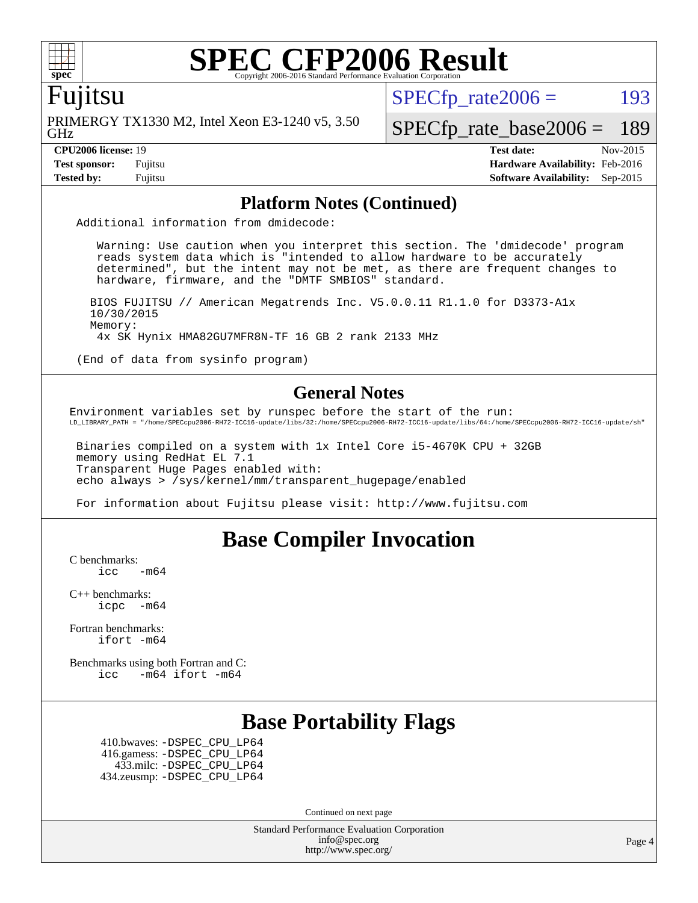

### Fujitsu

GHz PRIMERGY TX1330 M2, Intel Xeon E3-1240 v5, 3.50  $SPECTp\_rate2006 = 193$ 

[SPECfp\\_rate\\_base2006 =](http://www.spec.org/auto/cpu2006/Docs/result-fields.html#SPECfpratebase2006) 189

**[CPU2006 license:](http://www.spec.org/auto/cpu2006/Docs/result-fields.html#CPU2006license)** 19 **[Test date:](http://www.spec.org/auto/cpu2006/Docs/result-fields.html#Testdate)** Nov-2015 **[Test sponsor:](http://www.spec.org/auto/cpu2006/Docs/result-fields.html#Testsponsor)** Fujitsu **[Hardware Availability:](http://www.spec.org/auto/cpu2006/Docs/result-fields.html#HardwareAvailability)** Feb-2016 **[Tested by:](http://www.spec.org/auto/cpu2006/Docs/result-fields.html#Testedby)** Fujitsu **[Software Availability:](http://www.spec.org/auto/cpu2006/Docs/result-fields.html#SoftwareAvailability)** Sep-2015

#### **[Platform Notes \(Continued\)](http://www.spec.org/auto/cpu2006/Docs/result-fields.html#PlatformNotes)**

Additional information from dmidecode:

 Warning: Use caution when you interpret this section. The 'dmidecode' program reads system data which is "intended to allow hardware to be accurately determined", but the intent may not be met, as there are frequent changes to hardware, firmware, and the "DMTF SMBIOS" standard.

 BIOS FUJITSU // American Megatrends Inc. V5.0.0.11 R1.1.0 for D3373-A1x 10/30/2015 Memory: 4x SK Hynix HMA82GU7MFR8N-TF 16 GB 2 rank 2133 MHz

(End of data from sysinfo program)

#### **[General Notes](http://www.spec.org/auto/cpu2006/Docs/result-fields.html#GeneralNotes)**

Environment variables set by runspec before the start of the run: LD\_LIBRARY\_PATH = "/home/SPECcpu2006-RH72-ICC16-update/libs/32:/home/SPECcpu2006-RH72-ICC16-update/libs/64:/home/SPECcpu2006-RH72-ICC16-update/sh"

 Binaries compiled on a system with 1x Intel Core i5-4670K CPU + 32GB memory using RedHat EL 7.1 Transparent Huge Pages enabled with: echo always > /sys/kernel/mm/transparent\_hugepage/enabled

For information about Fujitsu please visit: <http://www.fujitsu.com>

### **[Base Compiler Invocation](http://www.spec.org/auto/cpu2006/Docs/result-fields.html#BaseCompilerInvocation)**

[C benchmarks](http://www.spec.org/auto/cpu2006/Docs/result-fields.html#Cbenchmarks):

 $\text{icc}$   $-\text{m64}$ 

[C++ benchmarks:](http://www.spec.org/auto/cpu2006/Docs/result-fields.html#CXXbenchmarks) [icpc -m64](http://www.spec.org/cpu2006/results/res2016q1/cpu2006-20160111-38700.flags.html#user_CXXbase_intel_icpc_64bit_bedb90c1146cab66620883ef4f41a67e)

[Fortran benchmarks](http://www.spec.org/auto/cpu2006/Docs/result-fields.html#Fortranbenchmarks): [ifort -m64](http://www.spec.org/cpu2006/results/res2016q1/cpu2006-20160111-38700.flags.html#user_FCbase_intel_ifort_64bit_ee9d0fb25645d0210d97eb0527dcc06e)

[Benchmarks using both Fortran and C](http://www.spec.org/auto/cpu2006/Docs/result-fields.html#BenchmarksusingbothFortranandC): [icc -m64](http://www.spec.org/cpu2006/results/res2016q1/cpu2006-20160111-38700.flags.html#user_CC_FCbase_intel_icc_64bit_0b7121f5ab7cfabee23d88897260401c) [ifort -m64](http://www.spec.org/cpu2006/results/res2016q1/cpu2006-20160111-38700.flags.html#user_CC_FCbase_intel_ifort_64bit_ee9d0fb25645d0210d97eb0527dcc06e)

### **[Base Portability Flags](http://www.spec.org/auto/cpu2006/Docs/result-fields.html#BasePortabilityFlags)**

 410.bwaves: [-DSPEC\\_CPU\\_LP64](http://www.spec.org/cpu2006/results/res2016q1/cpu2006-20160111-38700.flags.html#suite_basePORTABILITY410_bwaves_DSPEC_CPU_LP64) 416.gamess: [-DSPEC\\_CPU\\_LP64](http://www.spec.org/cpu2006/results/res2016q1/cpu2006-20160111-38700.flags.html#suite_basePORTABILITY416_gamess_DSPEC_CPU_LP64) 433.milc: [-DSPEC\\_CPU\\_LP64](http://www.spec.org/cpu2006/results/res2016q1/cpu2006-20160111-38700.flags.html#suite_basePORTABILITY433_milc_DSPEC_CPU_LP64) 434.zeusmp: [-DSPEC\\_CPU\\_LP64](http://www.spec.org/cpu2006/results/res2016q1/cpu2006-20160111-38700.flags.html#suite_basePORTABILITY434_zeusmp_DSPEC_CPU_LP64)

Continued on next page

Standard Performance Evaluation Corporation [info@spec.org](mailto:info@spec.org) <http://www.spec.org/>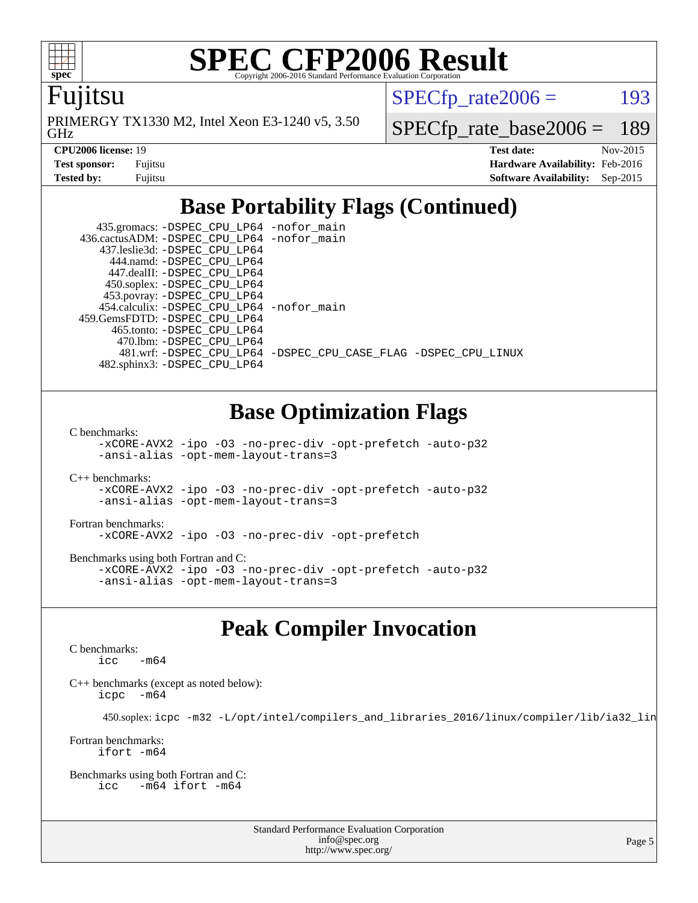

Fujitsu

GHz PRIMERGY TX1330 M2, Intel Xeon E3-1240 v5, 3.50  $SPECTp\_rate2006 = 193$ 

[SPECfp\\_rate\\_base2006 =](http://www.spec.org/auto/cpu2006/Docs/result-fields.html#SPECfpratebase2006) 189

| <b>Test sponsor:</b> | Fujitsu |
|----------------------|---------|
| Tested by:           | Fuiitsu |

**[CPU2006 license:](http://www.spec.org/auto/cpu2006/Docs/result-fields.html#CPU2006license)** 19 **[Test date:](http://www.spec.org/auto/cpu2006/Docs/result-fields.html#Testdate)** Nov-2015 **[Hardware Availability:](http://www.spec.org/auto/cpu2006/Docs/result-fields.html#HardwareAvailability)** Feb-2016 **[Software Availability:](http://www.spec.org/auto/cpu2006/Docs/result-fields.html#SoftwareAvailability)** Sep-2015

# **[Base Portability Flags \(Continued\)](http://www.spec.org/auto/cpu2006/Docs/result-fields.html#BasePortabilityFlags)**

| 435.gromacs: -DSPEC_CPU_LP64 -nofor_main<br>436.cactusADM: - DSPEC CPU LP64 - nofor main |                                                                |
|------------------------------------------------------------------------------------------|----------------------------------------------------------------|
| 437.leslie3d: -DSPEC CPU LP64                                                            |                                                                |
| 444.namd: - DSPEC_CPU LP64                                                               |                                                                |
| 447.dealII: -DSPEC CPU LP64                                                              |                                                                |
| 450.soplex: -DSPEC_CPU_LP64                                                              |                                                                |
| 453.povray: -DSPEC_CPU_LP64                                                              |                                                                |
| 454.calculix: -DSPEC_CPU_LP64 -nofor_main                                                |                                                                |
| 459. GemsFDTD: - DSPEC CPU LP64                                                          |                                                                |
| 465.tonto: - DSPEC CPU LP64                                                              |                                                                |
| 470.1bm: - DSPEC CPU LP64                                                                |                                                                |
|                                                                                          | 481.wrf: -DSPEC CPU_LP64 -DSPEC_CPU_CASE_FLAG -DSPEC_CPU_LINUX |
| 482.sphinx3: -DSPEC CPU LP64                                                             |                                                                |

# **[Base Optimization Flags](http://www.spec.org/auto/cpu2006/Docs/result-fields.html#BaseOptimizationFlags)**

[C benchmarks](http://www.spec.org/auto/cpu2006/Docs/result-fields.html#Cbenchmarks):

[-xCORE-AVX2](http://www.spec.org/cpu2006/results/res2016q1/cpu2006-20160111-38700.flags.html#user_CCbase_f-xAVX2_5f5fc0cbe2c9f62c816d3e45806c70d7) [-ipo](http://www.spec.org/cpu2006/results/res2016q1/cpu2006-20160111-38700.flags.html#user_CCbase_f-ipo) [-O3](http://www.spec.org/cpu2006/results/res2016q1/cpu2006-20160111-38700.flags.html#user_CCbase_f-O3) [-no-prec-div](http://www.spec.org/cpu2006/results/res2016q1/cpu2006-20160111-38700.flags.html#user_CCbase_f-no-prec-div) [-opt-prefetch](http://www.spec.org/cpu2006/results/res2016q1/cpu2006-20160111-38700.flags.html#user_CCbase_f-opt-prefetch) [-auto-p32](http://www.spec.org/cpu2006/results/res2016q1/cpu2006-20160111-38700.flags.html#user_CCbase_f-auto-p32) [-ansi-alias](http://www.spec.org/cpu2006/results/res2016q1/cpu2006-20160111-38700.flags.html#user_CCbase_f-ansi-alias) [-opt-mem-layout-trans=3](http://www.spec.org/cpu2006/results/res2016q1/cpu2006-20160111-38700.flags.html#user_CCbase_f-opt-mem-layout-trans_a7b82ad4bd7abf52556d4961a2ae94d5)

[C++ benchmarks:](http://www.spec.org/auto/cpu2006/Docs/result-fields.html#CXXbenchmarks) [-xCORE-AVX2](http://www.spec.org/cpu2006/results/res2016q1/cpu2006-20160111-38700.flags.html#user_CXXbase_f-xAVX2_5f5fc0cbe2c9f62c816d3e45806c70d7) [-ipo](http://www.spec.org/cpu2006/results/res2016q1/cpu2006-20160111-38700.flags.html#user_CXXbase_f-ipo) [-O3](http://www.spec.org/cpu2006/results/res2016q1/cpu2006-20160111-38700.flags.html#user_CXXbase_f-O3) [-no-prec-div](http://www.spec.org/cpu2006/results/res2016q1/cpu2006-20160111-38700.flags.html#user_CXXbase_f-no-prec-div) [-opt-prefetch](http://www.spec.org/cpu2006/results/res2016q1/cpu2006-20160111-38700.flags.html#user_CXXbase_f-opt-prefetch) [-auto-p32](http://www.spec.org/cpu2006/results/res2016q1/cpu2006-20160111-38700.flags.html#user_CXXbase_f-auto-p32) [-ansi-alias](http://www.spec.org/cpu2006/results/res2016q1/cpu2006-20160111-38700.flags.html#user_CXXbase_f-ansi-alias) [-opt-mem-layout-trans=3](http://www.spec.org/cpu2006/results/res2016q1/cpu2006-20160111-38700.flags.html#user_CXXbase_f-opt-mem-layout-trans_a7b82ad4bd7abf52556d4961a2ae94d5)

[Fortran benchmarks](http://www.spec.org/auto/cpu2006/Docs/result-fields.html#Fortranbenchmarks): [-xCORE-AVX2](http://www.spec.org/cpu2006/results/res2016q1/cpu2006-20160111-38700.flags.html#user_FCbase_f-xAVX2_5f5fc0cbe2c9f62c816d3e45806c70d7) [-ipo](http://www.spec.org/cpu2006/results/res2016q1/cpu2006-20160111-38700.flags.html#user_FCbase_f-ipo) [-O3](http://www.spec.org/cpu2006/results/res2016q1/cpu2006-20160111-38700.flags.html#user_FCbase_f-O3) [-no-prec-div](http://www.spec.org/cpu2006/results/res2016q1/cpu2006-20160111-38700.flags.html#user_FCbase_f-no-prec-div) [-opt-prefetch](http://www.spec.org/cpu2006/results/res2016q1/cpu2006-20160111-38700.flags.html#user_FCbase_f-opt-prefetch)

[Benchmarks using both Fortran and C](http://www.spec.org/auto/cpu2006/Docs/result-fields.html#BenchmarksusingbothFortranandC): [-xCORE-AVX2](http://www.spec.org/cpu2006/results/res2016q1/cpu2006-20160111-38700.flags.html#user_CC_FCbase_f-xAVX2_5f5fc0cbe2c9f62c816d3e45806c70d7) [-ipo](http://www.spec.org/cpu2006/results/res2016q1/cpu2006-20160111-38700.flags.html#user_CC_FCbase_f-ipo) [-O3](http://www.spec.org/cpu2006/results/res2016q1/cpu2006-20160111-38700.flags.html#user_CC_FCbase_f-O3) [-no-prec-div](http://www.spec.org/cpu2006/results/res2016q1/cpu2006-20160111-38700.flags.html#user_CC_FCbase_f-no-prec-div) [-opt-prefetch](http://www.spec.org/cpu2006/results/res2016q1/cpu2006-20160111-38700.flags.html#user_CC_FCbase_f-opt-prefetch) [-auto-p32](http://www.spec.org/cpu2006/results/res2016q1/cpu2006-20160111-38700.flags.html#user_CC_FCbase_f-auto-p32) [-ansi-alias](http://www.spec.org/cpu2006/results/res2016q1/cpu2006-20160111-38700.flags.html#user_CC_FCbase_f-ansi-alias) [-opt-mem-layout-trans=3](http://www.spec.org/cpu2006/results/res2016q1/cpu2006-20160111-38700.flags.html#user_CC_FCbase_f-opt-mem-layout-trans_a7b82ad4bd7abf52556d4961a2ae94d5)

### **[Peak Compiler Invocation](http://www.spec.org/auto/cpu2006/Docs/result-fields.html#PeakCompilerInvocation)**

[C benchmarks](http://www.spec.org/auto/cpu2006/Docs/result-fields.html#Cbenchmarks):  $\text{icc}$   $-\text{m64}$ 

[C++ benchmarks \(except as noted below\):](http://www.spec.org/auto/cpu2006/Docs/result-fields.html#CXXbenchmarksexceptasnotedbelow) [icpc -m64](http://www.spec.org/cpu2006/results/res2016q1/cpu2006-20160111-38700.flags.html#user_CXXpeak_intel_icpc_64bit_bedb90c1146cab66620883ef4f41a67e)

450.soplex: [icpc -m32 -L/opt/intel/compilers\\_and\\_libraries\\_2016/linux/compiler/lib/ia32\\_lin](http://www.spec.org/cpu2006/results/res2016q1/cpu2006-20160111-38700.flags.html#user_peakCXXLD450_soplex_intel_icpc_b4f50a394bdb4597aa5879c16bc3f5c5)

[Fortran benchmarks](http://www.spec.org/auto/cpu2006/Docs/result-fields.html#Fortranbenchmarks): [ifort -m64](http://www.spec.org/cpu2006/results/res2016q1/cpu2006-20160111-38700.flags.html#user_FCpeak_intel_ifort_64bit_ee9d0fb25645d0210d97eb0527dcc06e)

[Benchmarks using both Fortran and C](http://www.spec.org/auto/cpu2006/Docs/result-fields.html#BenchmarksusingbothFortranandC): [icc -m64](http://www.spec.org/cpu2006/results/res2016q1/cpu2006-20160111-38700.flags.html#user_CC_FCpeak_intel_icc_64bit_0b7121f5ab7cfabee23d88897260401c) [ifort -m64](http://www.spec.org/cpu2006/results/res2016q1/cpu2006-20160111-38700.flags.html#user_CC_FCpeak_intel_ifort_64bit_ee9d0fb25645d0210d97eb0527dcc06e)

> Standard Performance Evaluation Corporation [info@spec.org](mailto:info@spec.org) <http://www.spec.org/>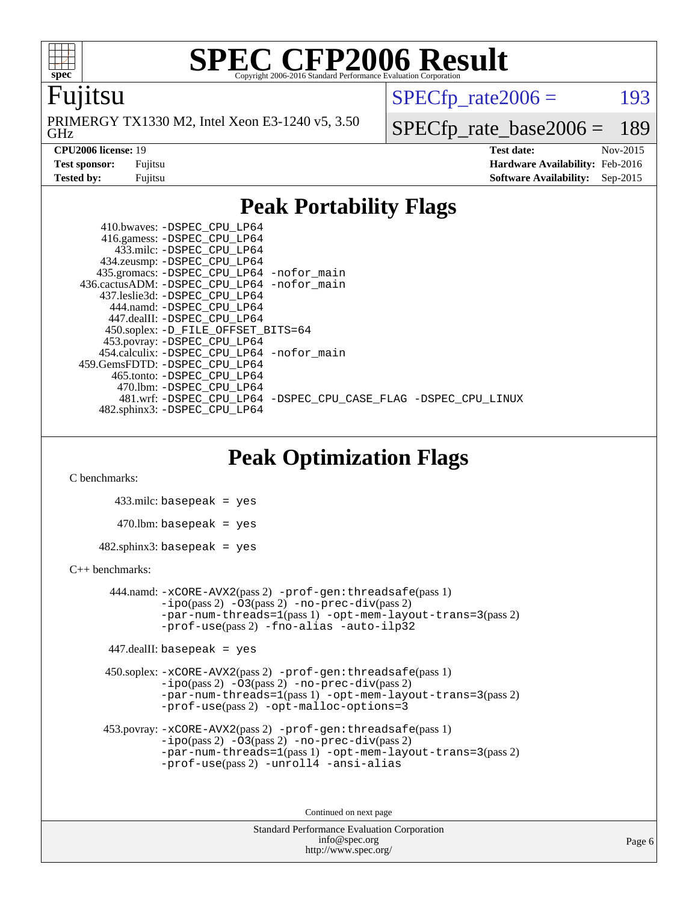

### Fujitsu

GHz PRIMERGY TX1330 M2, Intel Xeon E3-1240 v5, 3.50  $SPECTp\_rate2006 = 193$ 

[SPECfp\\_rate\\_base2006 =](http://www.spec.org/auto/cpu2006/Docs/result-fields.html#SPECfpratebase2006) 189

**[CPU2006 license:](http://www.spec.org/auto/cpu2006/Docs/result-fields.html#CPU2006license)** 19 **[Test date:](http://www.spec.org/auto/cpu2006/Docs/result-fields.html#Testdate)** Nov-2015 **[Test sponsor:](http://www.spec.org/auto/cpu2006/Docs/result-fields.html#Testsponsor)** Fujitsu **[Hardware Availability:](http://www.spec.org/auto/cpu2006/Docs/result-fields.html#HardwareAvailability)** Feb-2016 **[Tested by:](http://www.spec.org/auto/cpu2006/Docs/result-fields.html#Testedby)** Fujitsu **[Software Availability:](http://www.spec.org/auto/cpu2006/Docs/result-fields.html#SoftwareAvailability)** Sep-2015

### **[Peak Portability Flags](http://www.spec.org/auto/cpu2006/Docs/result-fields.html#PeakPortabilityFlags)**

 410.bwaves: [-DSPEC\\_CPU\\_LP64](http://www.spec.org/cpu2006/results/res2016q1/cpu2006-20160111-38700.flags.html#suite_peakPORTABILITY410_bwaves_DSPEC_CPU_LP64) 416.gamess: [-DSPEC\\_CPU\\_LP64](http://www.spec.org/cpu2006/results/res2016q1/cpu2006-20160111-38700.flags.html#suite_peakPORTABILITY416_gamess_DSPEC_CPU_LP64) 433.milc: [-DSPEC\\_CPU\\_LP64](http://www.spec.org/cpu2006/results/res2016q1/cpu2006-20160111-38700.flags.html#suite_peakPORTABILITY433_milc_DSPEC_CPU_LP64) 434.zeusmp: [-DSPEC\\_CPU\\_LP64](http://www.spec.org/cpu2006/results/res2016q1/cpu2006-20160111-38700.flags.html#suite_peakPORTABILITY434_zeusmp_DSPEC_CPU_LP64) 435.gromacs: [-DSPEC\\_CPU\\_LP64](http://www.spec.org/cpu2006/results/res2016q1/cpu2006-20160111-38700.flags.html#suite_peakPORTABILITY435_gromacs_DSPEC_CPU_LP64) [-nofor\\_main](http://www.spec.org/cpu2006/results/res2016q1/cpu2006-20160111-38700.flags.html#user_peakLDPORTABILITY435_gromacs_f-nofor_main) 436.cactusADM: [-DSPEC\\_CPU\\_LP64](http://www.spec.org/cpu2006/results/res2016q1/cpu2006-20160111-38700.flags.html#suite_peakPORTABILITY436_cactusADM_DSPEC_CPU_LP64) [-nofor\\_main](http://www.spec.org/cpu2006/results/res2016q1/cpu2006-20160111-38700.flags.html#user_peakLDPORTABILITY436_cactusADM_f-nofor_main) 437.leslie3d: [-DSPEC\\_CPU\\_LP64](http://www.spec.org/cpu2006/results/res2016q1/cpu2006-20160111-38700.flags.html#suite_peakPORTABILITY437_leslie3d_DSPEC_CPU_LP64) 444.namd: [-DSPEC\\_CPU\\_LP64](http://www.spec.org/cpu2006/results/res2016q1/cpu2006-20160111-38700.flags.html#suite_peakPORTABILITY444_namd_DSPEC_CPU_LP64) 447.dealII: [-DSPEC\\_CPU\\_LP64](http://www.spec.org/cpu2006/results/res2016q1/cpu2006-20160111-38700.flags.html#suite_peakPORTABILITY447_dealII_DSPEC_CPU_LP64) 450.soplex: [-D\\_FILE\\_OFFSET\\_BITS=64](http://www.spec.org/cpu2006/results/res2016q1/cpu2006-20160111-38700.flags.html#user_peakPORTABILITY450_soplex_file_offset_bits_64_438cf9856305ebd76870a2c6dc2689ab) 453.povray: [-DSPEC\\_CPU\\_LP64](http://www.spec.org/cpu2006/results/res2016q1/cpu2006-20160111-38700.flags.html#suite_peakPORTABILITY453_povray_DSPEC_CPU_LP64) 454.calculix: [-DSPEC\\_CPU\\_LP64](http://www.spec.org/cpu2006/results/res2016q1/cpu2006-20160111-38700.flags.html#suite_peakPORTABILITY454_calculix_DSPEC_CPU_LP64) [-nofor\\_main](http://www.spec.org/cpu2006/results/res2016q1/cpu2006-20160111-38700.flags.html#user_peakLDPORTABILITY454_calculix_f-nofor_main) 459.GemsFDTD: [-DSPEC\\_CPU\\_LP64](http://www.spec.org/cpu2006/results/res2016q1/cpu2006-20160111-38700.flags.html#suite_peakPORTABILITY459_GemsFDTD_DSPEC_CPU_LP64) 465.tonto: [-DSPEC\\_CPU\\_LP64](http://www.spec.org/cpu2006/results/res2016q1/cpu2006-20160111-38700.flags.html#suite_peakPORTABILITY465_tonto_DSPEC_CPU_LP64) 470.lbm: [-DSPEC\\_CPU\\_LP64](http://www.spec.org/cpu2006/results/res2016q1/cpu2006-20160111-38700.flags.html#suite_peakPORTABILITY470_lbm_DSPEC_CPU_LP64) 481.wrf: [-DSPEC\\_CPU\\_LP64](http://www.spec.org/cpu2006/results/res2016q1/cpu2006-20160111-38700.flags.html#suite_peakPORTABILITY481_wrf_DSPEC_CPU_LP64) [-DSPEC\\_CPU\\_CASE\\_FLAG](http://www.spec.org/cpu2006/results/res2016q1/cpu2006-20160111-38700.flags.html#b481.wrf_peakCPORTABILITY_DSPEC_CPU_CASE_FLAG) [-DSPEC\\_CPU\\_LINUX](http://www.spec.org/cpu2006/results/res2016q1/cpu2006-20160111-38700.flags.html#b481.wrf_peakCPORTABILITY_DSPEC_CPU_LINUX) 482.sphinx3: [-DSPEC\\_CPU\\_LP64](http://www.spec.org/cpu2006/results/res2016q1/cpu2006-20160111-38700.flags.html#suite_peakPORTABILITY482_sphinx3_DSPEC_CPU_LP64)

### **[Peak Optimization Flags](http://www.spec.org/auto/cpu2006/Docs/result-fields.html#PeakOptimizationFlags)**

[C benchmarks](http://www.spec.org/auto/cpu2006/Docs/result-fields.html#Cbenchmarks):

 433.milc: basepeak = yes  $470.1$ bm: basepeak = yes  $482$ .sphinx3: basepeak = yes

#### [C++ benchmarks:](http://www.spec.org/auto/cpu2006/Docs/result-fields.html#CXXbenchmarks)

 444.namd: [-xCORE-AVX2](http://www.spec.org/cpu2006/results/res2016q1/cpu2006-20160111-38700.flags.html#user_peakPASS2_CXXFLAGSPASS2_LDFLAGS444_namd_f-xAVX2_5f5fc0cbe2c9f62c816d3e45806c70d7)(pass 2) [-prof-gen:threadsafe](http://www.spec.org/cpu2006/results/res2016q1/cpu2006-20160111-38700.flags.html#user_peakPASS1_CXXFLAGSPASS1_LDFLAGS444_namd_prof_gen_21a26eb79f378b550acd7bec9fe4467a)(pass 1)  $-i\text{po}(pass 2) -03(pass 2) -no-prec-div(pass 2)$  $-i\text{po}(pass 2) -03(pass 2) -no-prec-div(pass 2)$  $-i\text{po}(pass 2) -03(pass 2) -no-prec-div(pass 2)$ [-par-num-threads=1](http://www.spec.org/cpu2006/results/res2016q1/cpu2006-20160111-38700.flags.html#user_peakPASS1_CXXFLAGSPASS1_LDFLAGS444_namd_par_num_threads_786a6ff141b4e9e90432e998842df6c2)(pass 1) [-opt-mem-layout-trans=3](http://www.spec.org/cpu2006/results/res2016q1/cpu2006-20160111-38700.flags.html#user_peakPASS2_CXXFLAGS444_namd_f-opt-mem-layout-trans_a7b82ad4bd7abf52556d4961a2ae94d5)(pass 2) [-prof-use](http://www.spec.org/cpu2006/results/res2016q1/cpu2006-20160111-38700.flags.html#user_peakPASS2_CXXFLAGSPASS2_LDFLAGS444_namd_prof_use_bccf7792157ff70d64e32fe3e1250b55)(pass 2) [-fno-alias](http://www.spec.org/cpu2006/results/res2016q1/cpu2006-20160111-38700.flags.html#user_peakCXXOPTIMIZE444_namd_f-no-alias_694e77f6c5a51e658e82ccff53a9e63a) [-auto-ilp32](http://www.spec.org/cpu2006/results/res2016q1/cpu2006-20160111-38700.flags.html#user_peakCXXOPTIMIZE444_namd_f-auto-ilp32)

447.dealII: basepeak = yes

 450.soplex: [-xCORE-AVX2](http://www.spec.org/cpu2006/results/res2016q1/cpu2006-20160111-38700.flags.html#user_peakPASS2_CXXFLAGSPASS2_LDFLAGS450_soplex_f-xAVX2_5f5fc0cbe2c9f62c816d3e45806c70d7)(pass 2) [-prof-gen:threadsafe](http://www.spec.org/cpu2006/results/res2016q1/cpu2006-20160111-38700.flags.html#user_peakPASS1_CXXFLAGSPASS1_LDFLAGS450_soplex_prof_gen_21a26eb79f378b550acd7bec9fe4467a)(pass 1)  $-i\text{po}(pass 2) -\tilde{O}3(pass 2)$  [-no-prec-div](http://www.spec.org/cpu2006/results/res2016q1/cpu2006-20160111-38700.flags.html#user_peakPASS2_CXXFLAGSPASS2_LDFLAGS450_soplex_f-no-prec-div)(pass 2) [-par-num-threads=1](http://www.spec.org/cpu2006/results/res2016q1/cpu2006-20160111-38700.flags.html#user_peakPASS1_CXXFLAGSPASS1_LDFLAGS450_soplex_par_num_threads_786a6ff141b4e9e90432e998842df6c2)(pass 1) [-opt-mem-layout-trans=3](http://www.spec.org/cpu2006/results/res2016q1/cpu2006-20160111-38700.flags.html#user_peakPASS2_CXXFLAGS450_soplex_f-opt-mem-layout-trans_a7b82ad4bd7abf52556d4961a2ae94d5)(pass 2) [-prof-use](http://www.spec.org/cpu2006/results/res2016q1/cpu2006-20160111-38700.flags.html#user_peakPASS2_CXXFLAGSPASS2_LDFLAGS450_soplex_prof_use_bccf7792157ff70d64e32fe3e1250b55)(pass 2) [-opt-malloc-options=3](http://www.spec.org/cpu2006/results/res2016q1/cpu2006-20160111-38700.flags.html#user_peakOPTIMIZE450_soplex_f-opt-malloc-options_13ab9b803cf986b4ee62f0a5998c2238)

```
 453.povray: -xCORE-AVX2(pass 2) -prof-gen:threadsafe(pass 1)
-i\text{po}(pass 2) -03(pass 2)-no-prec-div(pass 2)
-par-num-threads=1(pass 1) -opt-mem-layout-trans=3(pass 2)
-prof-use(pass 2) -unroll4 -ansi-alias
```
Continued on next page

```
Standard Performance Evaluation Corporation
    info@spec.org
 http://www.spec.org/
```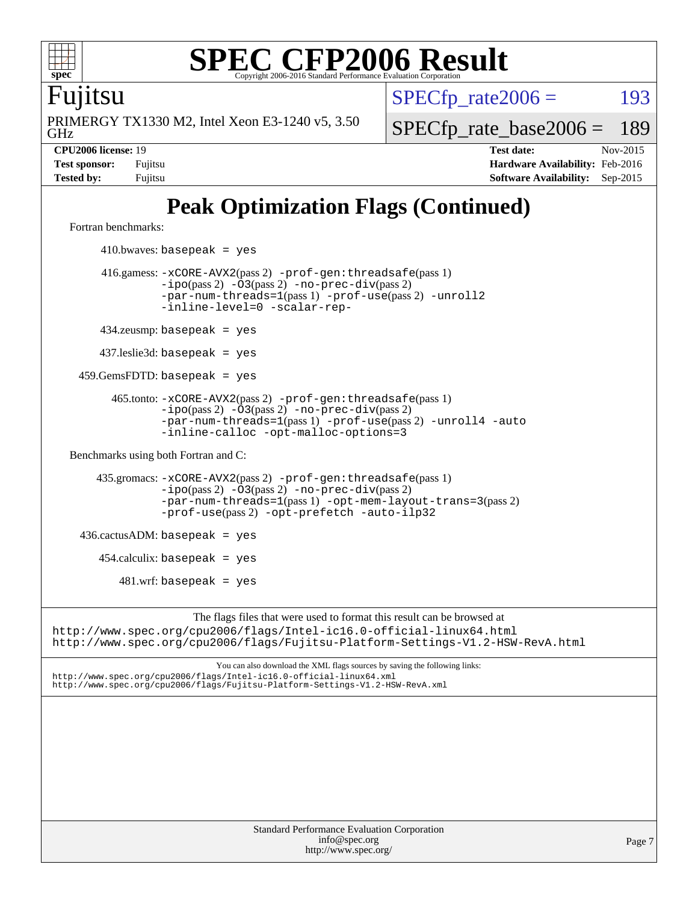

Fujitsu

GHz PRIMERGY TX1330 M2, Intel Xeon E3-1240 v5, 3.50  $SPECTp\_rate2006 = 193$ 

[SPECfp\\_rate\\_base2006 =](http://www.spec.org/auto/cpu2006/Docs/result-fields.html#SPECfpratebase2006) 189

**[CPU2006 license:](http://www.spec.org/auto/cpu2006/Docs/result-fields.html#CPU2006license)** 19 **[Test date:](http://www.spec.org/auto/cpu2006/Docs/result-fields.html#Testdate)** Nov-2015 **[Test sponsor:](http://www.spec.org/auto/cpu2006/Docs/result-fields.html#Testsponsor)** Fujitsu **[Hardware Availability:](http://www.spec.org/auto/cpu2006/Docs/result-fields.html#HardwareAvailability)** Feb-2016 **[Tested by:](http://www.spec.org/auto/cpu2006/Docs/result-fields.html#Testedby)** Fujitsu **[Software Availability:](http://www.spec.org/auto/cpu2006/Docs/result-fields.html#SoftwareAvailability)** Sep-2015

# **[Peak Optimization Flags \(Continued\)](http://www.spec.org/auto/cpu2006/Docs/result-fields.html#PeakOptimizationFlags)**

[Fortran benchmarks](http://www.spec.org/auto/cpu2006/Docs/result-fields.html#Fortranbenchmarks):

 $410.bwaves: basepeak = yes$  416.gamess: [-xCORE-AVX2](http://www.spec.org/cpu2006/results/res2016q1/cpu2006-20160111-38700.flags.html#user_peakPASS2_FFLAGSPASS2_LDFLAGS416_gamess_f-xAVX2_5f5fc0cbe2c9f62c816d3e45806c70d7)(pass 2) [-prof-gen:threadsafe](http://www.spec.org/cpu2006/results/res2016q1/cpu2006-20160111-38700.flags.html#user_peakPASS1_FFLAGSPASS1_LDFLAGS416_gamess_prof_gen_21a26eb79f378b550acd7bec9fe4467a)(pass 1)  $-i\text{po}(pass 2) -03(pass 2) -no-prec-div(pass 2)$  $-i\text{po}(pass 2) -03(pass 2) -no-prec-div(pass 2)$  $-i\text{po}(pass 2) -03(pass 2) -no-prec-div(pass 2)$ [-par-num-threads=1](http://www.spec.org/cpu2006/results/res2016q1/cpu2006-20160111-38700.flags.html#user_peakPASS1_FFLAGSPASS1_LDFLAGS416_gamess_par_num_threads_786a6ff141b4e9e90432e998842df6c2)(pass 1) [-prof-use](http://www.spec.org/cpu2006/results/res2016q1/cpu2006-20160111-38700.flags.html#user_peakPASS2_FFLAGSPASS2_LDFLAGS416_gamess_prof_use_bccf7792157ff70d64e32fe3e1250b55)(pass 2) [-unroll2](http://www.spec.org/cpu2006/results/res2016q1/cpu2006-20160111-38700.flags.html#user_peakOPTIMIZE416_gamess_f-unroll_784dae83bebfb236979b41d2422d7ec2) [-inline-level=0](http://www.spec.org/cpu2006/results/res2016q1/cpu2006-20160111-38700.flags.html#user_peakOPTIMIZE416_gamess_f-inline-level_318d07a09274ad25e8d15dbfaa68ba50) [-scalar-rep-](http://www.spec.org/cpu2006/results/res2016q1/cpu2006-20160111-38700.flags.html#user_peakOPTIMIZE416_gamess_f-disablescalarrep_abbcad04450fb118e4809c81d83c8a1d) 434.zeusmp: basepeak = yes 437.leslie3d: basepeak = yes 459.GemsFDTD: basepeak = yes 465.tonto: [-xCORE-AVX2](http://www.spec.org/cpu2006/results/res2016q1/cpu2006-20160111-38700.flags.html#user_peakPASS2_FFLAGSPASS2_LDFLAGS465_tonto_f-xAVX2_5f5fc0cbe2c9f62c816d3e45806c70d7)(pass 2) [-prof-gen:threadsafe](http://www.spec.org/cpu2006/results/res2016q1/cpu2006-20160111-38700.flags.html#user_peakPASS1_FFLAGSPASS1_LDFLAGS465_tonto_prof_gen_21a26eb79f378b550acd7bec9fe4467a)(pass 1)  $-ipo(pass 2)$  $-ipo(pass 2)$   $-03(pass 2)$   $-no-prec-div(pass 2)$  $-no-prec-div(pass 2)$ [-par-num-threads=1](http://www.spec.org/cpu2006/results/res2016q1/cpu2006-20160111-38700.flags.html#user_peakPASS1_FFLAGSPASS1_LDFLAGS465_tonto_par_num_threads_786a6ff141b4e9e90432e998842df6c2)(pass 1) [-prof-use](http://www.spec.org/cpu2006/results/res2016q1/cpu2006-20160111-38700.flags.html#user_peakPASS2_FFLAGSPASS2_LDFLAGS465_tonto_prof_use_bccf7792157ff70d64e32fe3e1250b55)(pass 2) [-unroll4](http://www.spec.org/cpu2006/results/res2016q1/cpu2006-20160111-38700.flags.html#user_peakOPTIMIZE465_tonto_f-unroll_4e5e4ed65b7fd20bdcd365bec371b81f) [-auto](http://www.spec.org/cpu2006/results/res2016q1/cpu2006-20160111-38700.flags.html#user_peakOPTIMIZE465_tonto_f-auto) [-inline-calloc](http://www.spec.org/cpu2006/results/res2016q1/cpu2006-20160111-38700.flags.html#user_peakOPTIMIZE465_tonto_f-inline-calloc) [-opt-malloc-options=3](http://www.spec.org/cpu2006/results/res2016q1/cpu2006-20160111-38700.flags.html#user_peakOPTIMIZE465_tonto_f-opt-malloc-options_13ab9b803cf986b4ee62f0a5998c2238) [Benchmarks using both Fortran and C](http://www.spec.org/auto/cpu2006/Docs/result-fields.html#BenchmarksusingbothFortranandC): 435.gromacs: [-xCORE-AVX2](http://www.spec.org/cpu2006/results/res2016q1/cpu2006-20160111-38700.flags.html#user_peakPASS2_CFLAGSPASS2_FFLAGSPASS2_LDFLAGS435_gromacs_f-xAVX2_5f5fc0cbe2c9f62c816d3e45806c70d7)(pass 2) [-prof-gen:threadsafe](http://www.spec.org/cpu2006/results/res2016q1/cpu2006-20160111-38700.flags.html#user_peakPASS1_CFLAGSPASS1_FFLAGSPASS1_LDFLAGS435_gromacs_prof_gen_21a26eb79f378b550acd7bec9fe4467a)(pass 1) [-ipo](http://www.spec.org/cpu2006/results/res2016q1/cpu2006-20160111-38700.flags.html#user_peakPASS2_CFLAGSPASS2_FFLAGSPASS2_LDFLAGS435_gromacs_f-ipo)(pass 2) [-O3](http://www.spec.org/cpu2006/results/res2016q1/cpu2006-20160111-38700.flags.html#user_peakPASS2_CFLAGSPASS2_FFLAGSPASS2_LDFLAGS435_gromacs_f-O3)(pass 2) [-no-prec-div](http://www.spec.org/cpu2006/results/res2016q1/cpu2006-20160111-38700.flags.html#user_peakPASS2_CFLAGSPASS2_FFLAGSPASS2_LDFLAGS435_gromacs_f-no-prec-div)(pass 2) [-par-num-threads=1](http://www.spec.org/cpu2006/results/res2016q1/cpu2006-20160111-38700.flags.html#user_peakPASS1_CFLAGSPASS1_FFLAGSPASS1_LDFLAGS435_gromacs_par_num_threads_786a6ff141b4e9e90432e998842df6c2)(pass 1) [-opt-mem-layout-trans=3](http://www.spec.org/cpu2006/results/res2016q1/cpu2006-20160111-38700.flags.html#user_peakPASS2_CFLAGS435_gromacs_f-opt-mem-layout-trans_a7b82ad4bd7abf52556d4961a2ae94d5)(pass 2) [-prof-use](http://www.spec.org/cpu2006/results/res2016q1/cpu2006-20160111-38700.flags.html#user_peakPASS2_CFLAGSPASS2_FFLAGSPASS2_LDFLAGS435_gromacs_prof_use_bccf7792157ff70d64e32fe3e1250b55)(pass 2) [-opt-prefetch](http://www.spec.org/cpu2006/results/res2016q1/cpu2006-20160111-38700.flags.html#user_peakOPTIMIZE435_gromacs_f-opt-prefetch) [-auto-ilp32](http://www.spec.org/cpu2006/results/res2016q1/cpu2006-20160111-38700.flags.html#user_peakCOPTIMIZE435_gromacs_f-auto-ilp32)  $436.cactusADM:basepeak = yes$  454.calculix: basepeak = yes  $481.$ wrf: basepeak = yes The flags files that were used to format this result can be browsed at <http://www.spec.org/cpu2006/flags/Intel-ic16.0-official-linux64.html> <http://www.spec.org/cpu2006/flags/Fujitsu-Platform-Settings-V1.2-HSW-RevA.html> You can also download the XML flags sources by saving the following links: <http://www.spec.org/cpu2006/flags/Intel-ic16.0-official-linux64.xml> <http://www.spec.org/cpu2006/flags/Fujitsu-Platform-Settings-V1.2-HSW-RevA.xml>